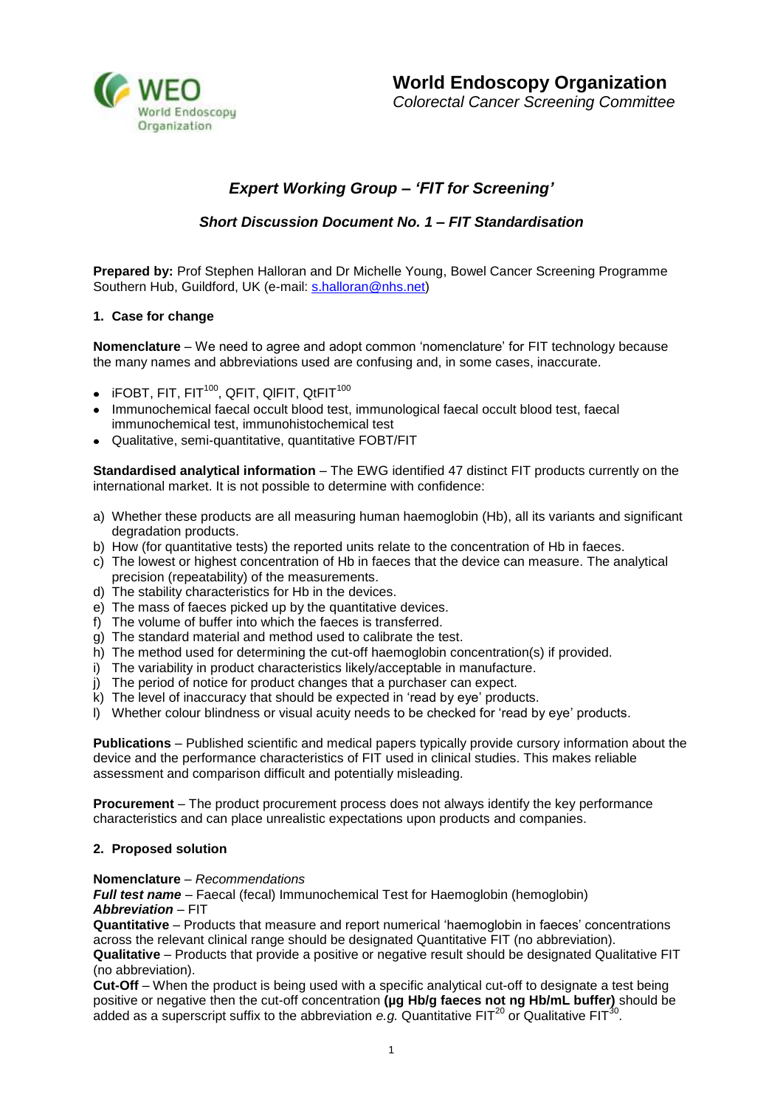

# *Expert Working Group – 'FIT for Screening'*

# *Short Discussion Document No. 1 – FIT Standardisation*

**Prepared by:** Prof Stephen Halloran and Dr Michelle Young, Bowel Cancer Screening Programme Southern Hub, Guildford, UK (e-mail: [s.halloran@nhs.net\)](mailto:s.halloran@nhs.net)

# **1. Case for change**

**Nomenclature** – We need to agree and adopt common 'nomenclature' for FIT technology because the many names and abbreviations used are confusing and, in some cases, inaccurate.

- $\bullet$  iFOBT, FIT, FIT<sup>100</sup>, QFIT, QIFIT, QtFIT<sup>100</sup>
- Immunochemical faecal occult blood test, immunological faecal occult blood test, faecal immunochemical test, immunohistochemical test
- Qualitative, semi-quantitative, quantitative FOBT/FIT

**Standardised analytical information** – The EWG identified 47 distinct FIT products currently on the international market. It is not possible to determine with confidence:

- a) Whether these products are all measuring human haemoglobin (Hb), all its variants and significant degradation products.
- b) How (for quantitative tests) the reported units relate to the concentration of Hb in faeces.
- c) The lowest or highest concentration of Hb in faeces that the device can measure. The analytical precision (repeatability) of the measurements.
- d) The stability characteristics for Hb in the devices.
- e) The mass of faeces picked up by the quantitative devices.
- f) The volume of buffer into which the faeces is transferred.
- g) The standard material and method used to calibrate the test.
- h) The method used for determining the cut-off haemoglobin concentration(s) if provided.
- i) The variability in product characteristics likely/acceptable in manufacture.
- j) The period of notice for product changes that a purchaser can expect.
- k) The level of inaccuracy that should be expected in 'read by eye' products.
- l) Whether colour blindness or visual acuity needs to be checked for 'read by eye' products.

**Publications** – Published scientific and medical papers typically provide cursory information about the device and the performance characteristics of FIT used in clinical studies. This makes reliable assessment and comparison difficult and potentially misleading.

**Procurement** – The product procurement process does not always identify the key performance characteristics and can place unrealistic expectations upon products and companies.

### **2. Proposed solution**

### **Nomenclature** – *Recommendations*

*Full test name* – Faecal (fecal) Immunochemical Test for Haemoglobin (hemoglobin)

# *Abbreviation* – FIT

**Quantitative** – Products that measure and report numerical 'haemoglobin in faeces' concentrations across the relevant clinical range should be designated Quantitative FIT (no abbreviation).

**Qualitative** – Products that provide a positive or negative result should be designated Qualitative FIT (no abbreviation).

**Cut-Off** – When the product is being used with a specific analytical cut-off to designate a test being positive or negative then the cut-off concentration **(µg Hb/g faeces not ng Hb/mL buffer)** should be added as a superscript suffix to the abbreviation  $e.g.$  Quantitative FIT<sup>20</sup> or Qualitative FIT<sup>30</sup>.